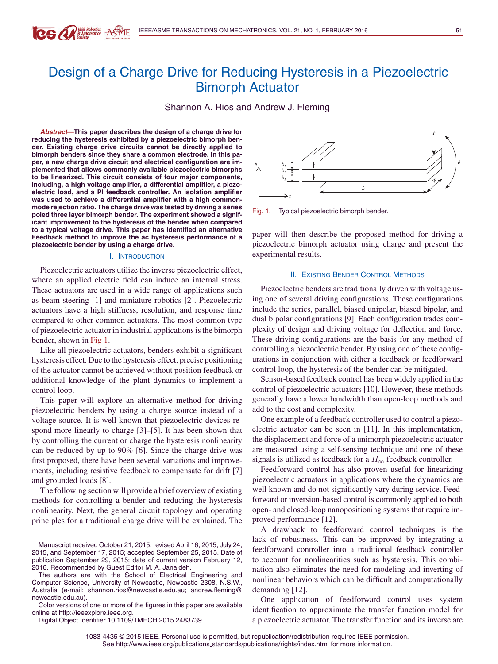# Design of a Charge Drive for Reducing Hysteresis in a Piezoelectric Bimorph Actuator

Shannon A. Rios and Andrew J. Fleming

**Abstract—This paper describes the design of a charge drive for reducing the hysteresis exhibited by a piezoelectric bimorph bender. Existing charge drive circuits cannot be directly applied to bimorph benders since they share a common electrode. In this paper, a new charge drive circuit and electrical configuration are implemented that allows commonly available piezoelectric bimorphs to be linearized. This circuit consists of four major components, including, a high voltage amplifier, a differential amplifier, a piezoelectric load, and a PI feedback controller. An isolation amplifier was used to achieve a differential amplifier with a high commonmode rejection ratio. The charge drive was tested by driving a series poled three layer bimorph bender. The experiment showed a significant improvement to the hysteresis of the bender when compared to a typical voltage drive. This paper has identified an alternative Feedback method to improve the ac hysteresis performance of a piezoelectric bender by using a charge drive.**

**CG ALL S Automation ASME** 

#### I. INTRODUCTION

Piezoelectric actuators utilize the inverse piezoelectric effect, where an applied electric field can induce an internal stress. These actuators are used in a wide range of applications such as beam steering [1] and miniature robotics [2]. Piezoelectric actuators have a high stiffness, resolution, and response time compared to other common actuators. The most common type of piezoelectric actuator in industrial applications is the bimorph bender, shown in Fig 1.

Like all piezoelectric actuators, benders exhibit a significant hysteresis effect. Due to the hysteresis effect, precise positioning of the actuator cannot be achieved without position feedback or additional knowledge of the plant dynamics to implement a control loop.

This paper will explore an alternative method for driving piezoelectric benders by using a charge source instead of a voltage source. It is well known that piezoelectric devices respond more linearly to charge [3]–[5]. It has been shown that by controlling the current or charge the hysteresis nonlinearity can be reduced by up to 90% [6]. Since the charge drive was first proposed, there have been several variations and improvements, including resistive feedback to compensate for drift [7] and grounded loads [8].

The following section will provide a brief overview of existing methods for controlling a bender and reducing the hysteresis nonlinearity. Next, the general circuit topology and operating principles for a traditional charge drive will be explained. The

The authors are with the School of Electrical Engineering and Computer Science, University of Newcastle, Newcastle 2308, N.S.W., Australia (e-mail: shannon.rios@newcastle.edu.au; andrew.fleming@ newcastle.edu.au).

Color versions of one or more of the figures in this paper are available online at http://ieeexplore.ieee.org.

Digital Object Identifier 10.1109/TMECH.2015.2483739

Fig. 1. Typical piezoelectric bimorph bender.

paper will then describe the proposed method for driving a piezoelectric bimorph actuator using charge and present the experimental results.

### II. EXISTING BENDER CONTROL METHODS

Piezoelectric benders are traditionally driven with voltage using one of several driving configurations. These configurations include the series, parallel, biased unipolar, biased bipolar, and dual bipolar configurations [9]. Each configuration trades complexity of design and driving voltage for deflection and force. These driving configurations are the basis for any method of controlling a piezoelectric bender. By using one of these configurations in conjunction with either a feedback or feedforward control loop, the hysteresis of the bender can be mitigated.

Sensor-based feedback control has been widely applied in the control of piezoelectric actuators [10]. However, these methods generally have a lower bandwidth than open-loop methods and add to the cost and complexity.

One example of a feedback controller used to control a piezoelectric actuator can be seen in [11]. In this implementation, the displacement and force of a unimorph piezoelectric actuator are measured using a self-sensing technique and one of these signals is utilized as feedback for a  $H_{\infty}$  feedback controller.

Feedforward control has also proven useful for linearizing piezoelectric actuators in applications where the dynamics are well known and do not significantly vary during service. Feedforward or inversion-based control is commonly applied to both open- and closed-loop nanopositioning systems that require improved performance [12].

A drawback to feedforward control techniques is the lack of robustness. This can be improved by integrating a feedforward controller into a traditional feedback controller to account for nonlinearities such as hysteresis. This combination also eliminates the need for modeling and inverting of nonlinear behaviors which can be difficult and computationally demanding [12].

One application of feedforward control uses system identification to approximate the transfer function model for a piezoelectric actuator. The transfer function and its inverse are

1083-4435 © 2015 IEEE. Personal use is permitted, but republication/redistribution requires IEEE permission. See http://www.ieee.org/publications standards/publications/rights/index.html for more information.

Manuscript received October 21, 2015; revised April 16, 2015, July 24, 2015, and September 17, 2015; accepted September 25, 2015. Date of publication September 29, 2015; date of current version February 12, 2016. Recommended by Guest Editor M. A. Janaideh.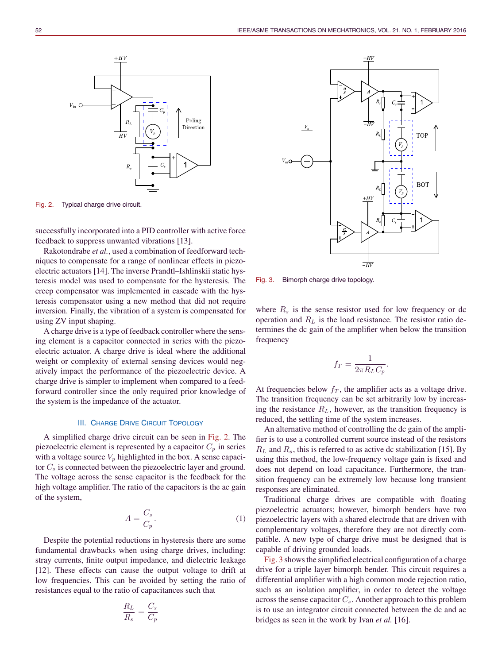

 $V_{in}$  C

successfully incorporated into a PID controller with active force feedback to suppress unwanted vibrations [13].

Poling Direction

 $+HV$ 

 $\overline{H}$ 

Rakotondrabe *et al.*, used a combination of feedforward techniques to compensate for a range of nonlinear effects in piezoelectric actuators [14]. The inverse Prandtl–Ishlinskii static hysteresis model was used to compensate for the hysteresis. The creep compensator was implemented in cascade with the hysteresis compensator using a new method that did not require inversion. Finally, the vibration of a system is compensated for using ZV input shaping.

A charge drive is a type of feedback controller where the sensing element is a capacitor connected in series with the piezoelectric actuator. A charge drive is ideal where the additional weight or complexity of external sensing devices would negatively impact the performance of the piezoelectric device. A charge drive is simpler to implement when compared to a feedforward controller since the only required prior knowledge of the system is the impedance of the actuator.

#### **III. CHARGE DRIVE CIRCUIT TOPOLOGY**

A simplified charge drive circuit can be seen in Fig. 2. The piezoelectric element is represented by a capacitor  $C_p$  in series with a voltage source  $V_p$  highlighted in the box. A sense capacitor  $C_s$  is connected between the piezoelectric layer and ground. The voltage across the sense capacitor is the feedback for the high voltage amplifier. The ratio of the capacitors is the ac gain of the system,

$$
A = \frac{C_s}{C_p}.\tag{1}
$$

Despite the potential reductions in hysteresis there are some fundamental drawbacks when using charge drives, including: stray currents, finite output impedance, and dielectric leakage [12]. These effects can cause the output voltage to drift at low frequencies. This can be avoided by setting the ratio of resistances equal to the ratio of capacitances such that

$$
\frac{R_L}{R_s} = \frac{C_s}{C_p}
$$



Fig. 3. Bimorph charge drive topology.

where  $R_s$  is the sense resistor used for low frequency or dc operation and  $R_L$  is the load resistance. The resistor ratio determines the dc gain of the amplifier when below the transition frequency

$$
f_T = \frac{1}{2\pi R_L C_p}.
$$

At frequencies below  $f<sub>T</sub>$ , the amplifier acts as a voltage drive. The transition frequency can be set arbitrarily low by increasing the resistance  $R_L$ , however, as the transition frequency is reduced, the settling time of the system increases.

An alternative method of controlling the dc gain of the amplifier is to use a controlled current source instead of the resistors  $R_L$  and  $R_s$ , this is referred to as active dc stabilization [15]. By using this method, the low-frequency voltage gain is fixed and does not depend on load capacitance. Furthermore, the transition frequency can be extremely low because long transient responses are eliminated.

Traditional charge drives are compatible with floating piezoelectric actuators; however, bimorph benders have two piezoelectric layers with a shared electrode that are driven with complementary voltages, therefore they are not directly compatible. A new type of charge drive must be designed that is capable of driving grounded loads.

Fig. 3 shows the simplified electrical configuration of a charge drive for a triple layer bimorph bender. This circuit requires a differential amplifier with a high common mode rejection ratio, such as an isolation amplifier, in order to detect the voltage across the sense capacitor  $C_s$ . Another approach to this problem is to use an integrator circuit connected between the dc and ac bridges as seen in the work by Ivan *et al.* [16].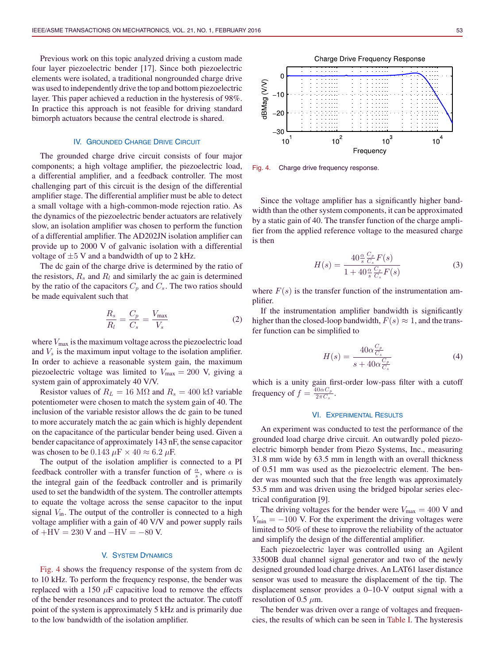Previous work on this topic analyzed driving a custom made four layer piezoelectric bender [17]. Since both piezoelectric elements were isolated, a traditional nongrounded charge drive was used to independently drive the top and bottom piezoelectric layer. This paper achieved a reduction in the hysteresis of 98%. In practice this approach is not feasible for driving standard bimorph actuators because the central electrode is shared.

### IV. GROUNDED CHARGE DRIVE CIRCUIT

The grounded charge drive circuit consists of four major components; a high voltage amplifier, the piezoelectric load, a differential amplifier, and a feedback controller. The most challenging part of this circuit is the design of the differential amplifier stage. The differential amplifier must be able to detect a small voltage with a high-common-mode rejection ratio. As the dynamics of the piezoelectric bender actuators are relatively slow, an isolation amplifier was chosen to perform the function of a differential amplifier. The AD202JN isolation amplifier can provide up to 2000 V of galvanic isolation with a differential voltage of  $\pm 5$  V and a bandwidth of up to 2 kHz.

The dc gain of the charge drive is determined by the ratio of the resistors,  $R_s$  and  $R_l$  and similarly the ac gain is determined by the ratio of the capacitors  $C_p$  and  $C_s$ . The two ratios should be made equivalent such that

$$
\frac{R_s}{R_l} = \frac{C_p}{C_s} = \frac{V_{\text{max}}}{V_s} \tag{2}
$$

where  $V_{\text{max}}$  is the maximum voltage across the piezoelectric load and  $V<sub>s</sub>$  is the maximum input voltage to the isolation amplifier. In order to achieve a reasonable system gain, the maximum piezoelectric voltage was limited to  $V_{\text{max}} = 200$  V, giving a system gain of approximately 40 V/V.

Resistor values of  $R_L = 16 \text{ M}\Omega$  and  $R_s = 400 \text{ k}\Omega$  variable potentiometer were chosen to match the system gain of 40. The inclusion of the variable resistor allows the dc gain to be tuned to more accurately match the ac gain which is highly dependent on the capacitance of the particular bender being used. Given a bender capacitance of approximately 143 nF, the sense capacitor was chosen to be 0.143  $\mu$ F × 40  $\approx$  6.2  $\mu$ F.

The output of the isolation amplifier is connected to a PI feedback controller with a transfer function of  $\frac{\alpha}{s}$ , where  $\alpha$  is the integral gain of the feedback controller and is primarily used to set the bandwidth of the system. The controller attempts to equate the voltage across the sense capacitor to the input signal  $V_{\text{in}}$ . The output of the controller is connected to a high voltage amplifier with a gain of 40 V/V and power supply rails of  $+HV = 230$  V and  $-HV = -80$  V.

# V. SYSTEM DYNAMICS

Fig. 4 shows the frequency response of the system from dc to 10 kHz. To perform the frequency response, the bender was replaced with a 150  $\mu$ F capacitive load to remove the effects of the bender resonances and to protect the actuator. The cutoff point of the system is approximately 5 kHz and is primarily due to the low bandwidth of the isolation amplifier.



Fig. 4. Charge drive frequency response.

Since the voltage amplifier has a significantly higher bandwidth than the other system components, it can be approximated by a static gain of 40. The transfer function of the charge amplifier from the applied reference voltage to the measured charge is then

$$
H(s) = \frac{40 \frac{\alpha}{s} \frac{C_p}{C_s} F(s)}{1 + 40 \frac{\alpha}{s} \frac{C_p}{C_s} F(s)}
$$
(3)

where  $F(s)$  is the transfer function of the instrumentation amplifier.

If the instrumentation amplifier bandwidth is significantly higher than the closed-loop bandwidth,  $F(s) \approx 1$ , and the transfer function can be simplified to

$$
H(s) = \frac{40\alpha \frac{C_p}{C_s}}{s + 40\alpha \frac{C_p}{C_s}}
$$
(4)

which is a unity gain first-order low-pass filter with a cutoff frequency of  $f = \frac{40\alpha C_p}{2\pi C_s}$ .

# VI. EXPERIMENTAL RESULTS

An experiment was conducted to test the performance of the grounded load charge drive circuit. An outwardly poled piezoelectric bimorph bender from Piezo Systems, Inc., measuring 31.8 mm wide by 63.5 mm in length with an overall thickness of 0.51 mm was used as the piezoelectric element. The bender was mounted such that the free length was approximately 53.5 mm and was driven using the bridged bipolar series electrical configuration [9].

The driving voltages for the bender were  $V_{\text{max}} = 400 \text{ V}$  and  $V_{\text{min}} = -100$  V. For the experiment the driving voltages were limited to 50% of these to improve the reliability of the actuator and simplify the design of the differential amplifier.

Each piezoelectric layer was controlled using an Agilent 33500B dual channel signal generator and two of the newly designed grounded load charge drives. An LAT61 laser distance sensor was used to measure the displacement of the tip. The displacement sensor provides a 0–10-V output signal with a resolution of 0.5  $\mu$ m.

The bender was driven over a range of voltages and frequencies, the results of which can be seen in Table I. The hysteresis